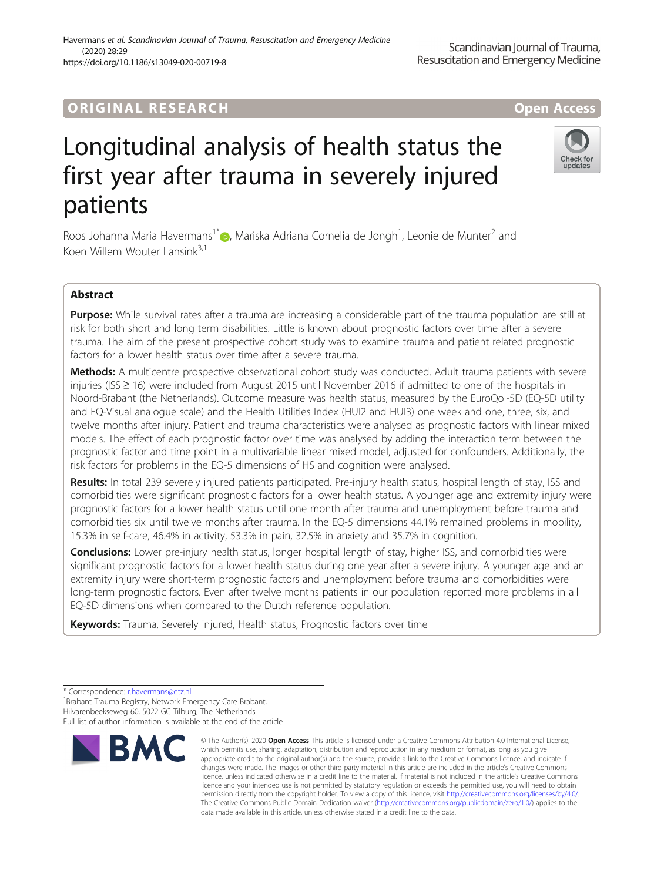## ORIGINA L R E S EA RCH Open Access

# Longitudinal analysis of health status the first year after trauma in severely injured patients

Roos Johanna Maria Havermans<sup>1[\\*](https://orcid.org/0000-0001-7037-4671)</sup>®, Mariska Adriana Cornelia de Jongh<sup>1</sup>, Leonie de Munter<sup>2</sup> and Koen Willem Wouter Lansink<sup>3,1</sup>

### Abstract

Purpose: While survival rates after a trauma are increasing a considerable part of the trauma population are still at risk for both short and long term disabilities. Little is known about prognostic factors over time after a severe trauma. The aim of the present prospective cohort study was to examine trauma and patient related prognostic factors for a lower health status over time after a severe trauma.

Methods: A multicentre prospective observational cohort study was conducted. Adult trauma patients with severe injuries (ISS ≥ 16) were included from August 2015 until November 2016 if admitted to one of the hospitals in Noord-Brabant (the Netherlands). Outcome measure was health status, measured by the EuroQol-5D (EQ-5D utility and EQ-Visual analogue scale) and the Health Utilities Index (HUI2 and HUI3) one week and one, three, six, and twelve months after injury. Patient and trauma characteristics were analysed as prognostic factors with linear mixed models. The effect of each prognostic factor over time was analysed by adding the interaction term between the prognostic factor and time point in a multivariable linear mixed model, adjusted for confounders. Additionally, the risk factors for problems in the EQ-5 dimensions of HS and cognition were analysed.

Results: In total 239 severely injured patients participated. Pre-injury health status, hospital length of stay, ISS and comorbidities were significant prognostic factors for a lower health status. A younger age and extremity injury were prognostic factors for a lower health status until one month after trauma and unemployment before trauma and comorbidities six until twelve months after trauma. In the EQ-5 dimensions 44.1% remained problems in mobility, 15.3% in self-care, 46.4% in activity, 53.3% in pain, 32.5% in anxiety and 35.7% in cognition.

**Conclusions:** Lower pre-injury health status, longer hospital length of stay, higher ISS, and comorbidities were significant prognostic factors for a lower health status during one year after a severe injury. A younger age and an extremity injury were short-term prognostic factors and unemployment before trauma and comorbidities were long-term prognostic factors. Even after twelve months patients in our population reported more problems in all EQ-5D dimensions when compared to the Dutch reference population.

Keywords: Trauma, Severely injured, Health status, Prognostic factors over time

Full list of author information is available at the end of the article

which permits use, sharing, adaptation, distribution and reproduction in any medium or format, as long as you give appropriate credit to the original author(s) and the source, provide a link to the Creative Commons licence, and indicate if changes were made. The images or other third party material in this article are included in the article's Creative Commons licence, unless indicated otherwise in a credit line to the material. If material is not included in the article's Creative Commons licence and your intended use is not permitted by statutory regulation or exceeds the permitted use, you will need to obtain permission directly from the copyright holder. To view a copy of this licence, visit [http://creativecommons.org/licenses/by/4.0/.](http://creativecommons.org/licenses/by/4.0/) The Creative Commons Public Domain Dedication waiver [\(http://creativecommons.org/publicdomain/zero/1.0/](http://creativecommons.org/publicdomain/zero/1.0/)) applies to the data made available in this article, unless otherwise stated in a credit line to the data.

© The Author(s), 2020 **Open Access** This article is licensed under a Creative Commons Attribution 4.0 International License,





**RMC** 

<sup>\*</sup> Correspondence: [r.havermans@etz.nl](mailto:r.havermans@etz.nl) <sup>1</sup>

<sup>&</sup>lt;sup>1</sup> Brabant Trauma Registry, Network Emergency Care Brabant, Hilvarenbeekseweg 60, 5022 GC Tilburg, The Netherlands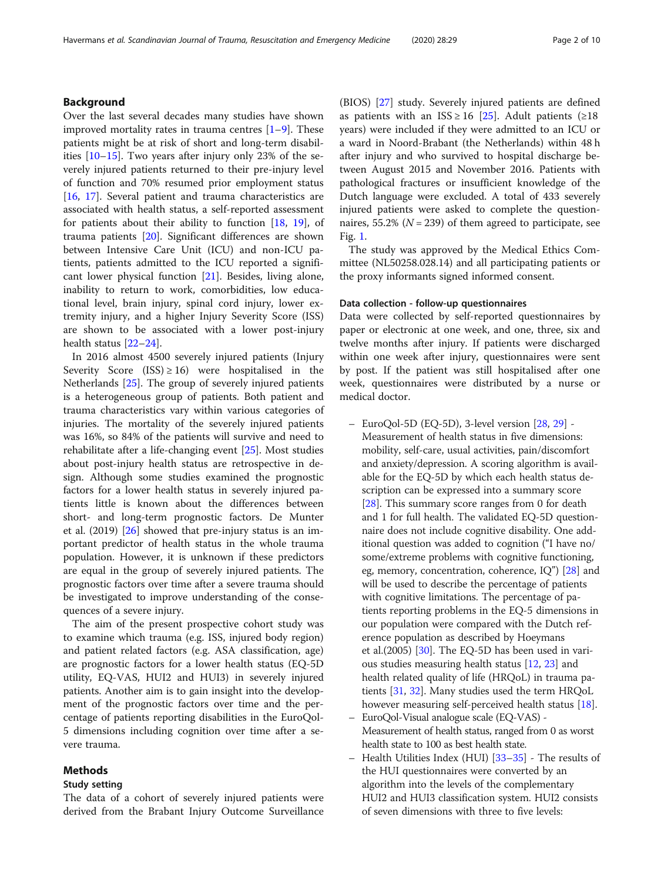### Background

Over the last several decades many studies have shown improved mortality rates in trauma centres  $[1-9]$  $[1-9]$  $[1-9]$  $[1-9]$  $[1-9]$ . These patients might be at risk of short and long-term disabilities [[10](#page-8-0)–[15](#page-8-0)]. Two years after injury only 23% of the severely injured patients returned to their pre-injury level of function and 70% resumed prior employment status [[16,](#page-9-0) [17](#page-9-0)]. Several patient and trauma characteristics are associated with health status, a self-reported assessment for patients about their ability to function [\[18,](#page-9-0) [19\]](#page-9-0), of trauma patients [[20](#page-9-0)]. Significant differences are shown between Intensive Care Unit (ICU) and non-ICU patients, patients admitted to the ICU reported a significant lower physical function [\[21\]](#page-9-0). Besides, living alone, inability to return to work, comorbidities, low educational level, brain injury, spinal cord injury, lower extremity injury, and a higher Injury Severity Score (ISS) are shown to be associated with a lower post-injury health status [[22](#page-9-0)–[24](#page-9-0)].

In 2016 almost 4500 severely injured patients (Injury Severity Score (ISS)  $\geq$  16) were hospitalised in the Netherlands [\[25\]](#page-9-0). The group of severely injured patients is a heterogeneous group of patients. Both patient and trauma characteristics vary within various categories of injuries. The mortality of the severely injured patients was 16%, so 84% of the patients will survive and need to rehabilitate after a life-changing event [[25](#page-9-0)]. Most studies about post-injury health status are retrospective in design. Although some studies examined the prognostic factors for a lower health status in severely injured patients little is known about the differences between short- and long-term prognostic factors. De Munter et al. (2019) [[26](#page-9-0)] showed that pre-injury status is an important predictor of health status in the whole trauma population. However, it is unknown if these predictors are equal in the group of severely injured patients. The prognostic factors over time after a severe trauma should be investigated to improve understanding of the consequences of a severe injury.

The aim of the present prospective cohort study was to examine which trauma (e.g. ISS, injured body region) and patient related factors (e.g. ASA classification, age) are prognostic factors for a lower health status (EQ-5D utility, EQ-VAS, HUI2 and HUI3) in severely injured patients. Another aim is to gain insight into the development of the prognostic factors over time and the percentage of patients reporting disabilities in the EuroQol-5 dimensions including cognition over time after a severe trauma.

#### Methods

#### Study setting

The data of a cohort of severely injured patients were derived from the Brabant Injury Outcome Surveillance (BIOS) [\[27\]](#page-9-0) study. Severely injured patients are defined as patients with an  $ISS \ge 16$  [[25\]](#page-9-0). Adult patients ( $\ge 18$ years) were included if they were admitted to an ICU or a ward in Noord-Brabant (the Netherlands) within 48 h after injury and who survived to hospital discharge between August 2015 and November 2016. Patients with pathological fractures or insufficient knowledge of the Dutch language were excluded. A total of 433 severely injured patients were asked to complete the questionnaires, 55.2% ( $N = 239$ ) of them agreed to participate, see Fig. [1](#page-2-0).

The study was approved by the Medical Ethics Committee (NL50258.028.14) and all participating patients or the proxy informants signed informed consent.

#### Data collection - follow-up questionnaires

Data were collected by self-reported questionnaires by paper or electronic at one week, and one, three, six and twelve months after injury. If patients were discharged within one week after injury, questionnaires were sent by post. If the patient was still hospitalised after one week, questionnaires were distributed by a nurse or medical doctor.

- EuroQol-5D (EQ-5D), 3-level version [[28](#page-9-0), [29\]](#page-9-0) Measurement of health status in five dimensions: mobility, self-care, usual activities, pain/discomfort and anxiety/depression. A scoring algorithm is available for the EQ-5D by which each health status description can be expressed into a summary score [[28](#page-9-0)]. This summary score ranges from 0 for death and 1 for full health. The validated EQ-5D questionnaire does not include cognitive disability. One additional question was added to cognition ("I have no/ some/extreme problems with cognitive functioning, eg, memory, concentration, coherence, IQ") [[28](#page-9-0)] and will be used to describe the percentage of patients with cognitive limitations. The percentage of patients reporting problems in the EQ-5 dimensions in our population were compared with the Dutch reference population as described by Hoeymans et al.(2005) [ $30$ ]. The EQ-5D has been used in various studies measuring health status [[12](#page-8-0), [23](#page-9-0)] and health related quality of life (HRQoL) in trauma patients [[31](#page-9-0), [32](#page-9-0)]. Many studies used the term HRQoL however measuring self-perceived health status [\[18\]](#page-9-0).
- EuroQol-Visual analogue scale (EQ-VAS) Measurement of health status, ranged from 0 as worst health state to 100 as best health state.
- Health Utilities Index (HUI) [[33](#page-9-0)–[35\]](#page-9-0) The results of the HUI questionnaires were converted by an algorithm into the levels of the complementary HUI2 and HUI3 classification system. HUI2 consists of seven dimensions with three to five levels: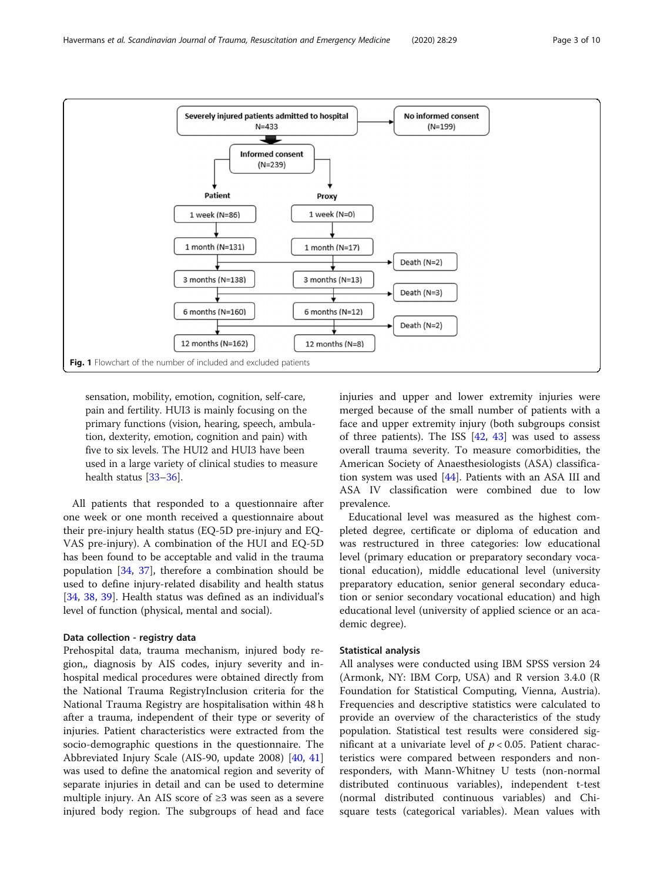<span id="page-2-0"></span>

sensation, mobility, emotion, cognition, self-care, pain and fertility. HUI3 is mainly focusing on the primary functions (vision, hearing, speech, ambulation, dexterity, emotion, cognition and pain) with five to six levels. The HUI2 and HUI3 have been used in a large variety of clinical studies to measure health status [[33](#page-9-0)–[36\]](#page-9-0).

All patients that responded to a questionnaire after one week or one month received a questionnaire about their pre-injury health status (EQ-5D pre-injury and EQ-VAS pre-injury). A combination of the HUI and EQ-5D has been found to be acceptable and valid in the trauma population [\[34](#page-9-0), [37](#page-9-0)], therefore a combination should be used to define injury-related disability and health status [[34,](#page-9-0) [38](#page-9-0), [39\]](#page-9-0). Health status was defined as an individual's level of function (physical, mental and social).

#### Data collection - registry data

Prehospital data, trauma mechanism, injured body region,, diagnosis by AIS codes, injury severity and inhospital medical procedures were obtained directly from the National Trauma RegistryInclusion criteria for the National Trauma Registry are hospitalisation within 48 h after a trauma, independent of their type or severity of injuries. Patient characteristics were extracted from the socio-demographic questions in the questionnaire. The Abbreviated Injury Scale (AIS-90, update 2008) [[40,](#page-9-0) [41](#page-9-0)] was used to define the anatomical region and severity of separate injuries in detail and can be used to determine multiple injury. An AIS score of ≥3 was seen as a severe injured body region. The subgroups of head and face injuries and upper and lower extremity injuries were merged because of the small number of patients with a face and upper extremity injury (both subgroups consist of three patients). The ISS [[42,](#page-9-0) [43\]](#page-9-0) was used to assess overall trauma severity. To measure comorbidities, the American Society of Anaesthesiologists (ASA) classification system was used [\[44\]](#page-9-0). Patients with an ASA III and ASA IV classification were combined due to low prevalence.

Educational level was measured as the highest completed degree, certificate or diploma of education and was restructured in three categories: low educational level (primary education or preparatory secondary vocational education), middle educational level (university preparatory education, senior general secondary education or senior secondary vocational education) and high educational level (university of applied science or an academic degree).

#### Statistical analysis

All analyses were conducted using IBM SPSS version 24 (Armonk, NY: IBM Corp, USA) and R version 3.4.0 (R Foundation for Statistical Computing, Vienna, Austria). Frequencies and descriptive statistics were calculated to provide an overview of the characteristics of the study population. Statistical test results were considered significant at a univariate level of  $p < 0.05$ . Patient characteristics were compared between responders and nonresponders, with Mann-Whitney U tests (non-normal distributed continuous variables), independent t-test (normal distributed continuous variables) and Chisquare tests (categorical variables). Mean values with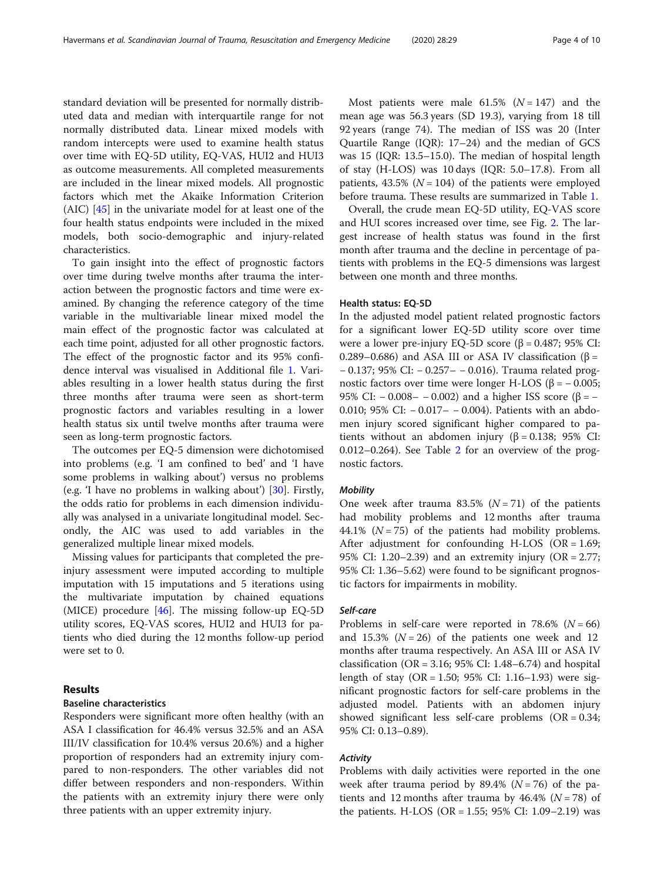standard deviation will be presented for normally distributed data and median with interquartile range for not normally distributed data. Linear mixed models with random intercepts were used to examine health status over time with EQ-5D utility, EQ-VAS, HUI2 and HUI3 as outcome measurements. All completed measurements are included in the linear mixed models. All prognostic factors which met the Akaike Information Criterion (AIC) [\[45](#page-9-0)] in the univariate model for at least one of the four health status endpoints were included in the mixed models, both socio-demographic and injury-related characteristics.

To gain insight into the effect of prognostic factors over time during twelve months after trauma the interaction between the prognostic factors and time were examined. By changing the reference category of the time variable in the multivariable linear mixed model the main effect of the prognostic factor was calculated at each time point, adjusted for all other prognostic factors. The effect of the prognostic factor and its 95% confidence interval was visualised in Additional file [1](#page-8-0). Variables resulting in a lower health status during the first three months after trauma were seen as short-term prognostic factors and variables resulting in a lower health status six until twelve months after trauma were seen as long-term prognostic factors.

The outcomes per EQ-5 dimension were dichotomised into problems (e.g. 'I am confined to bed' and 'I have some problems in walking about') versus no problems (e.g. 'I have no problems in walking about') [\[30](#page-9-0)]. Firstly, the odds ratio for problems in each dimension individually was analysed in a univariate longitudinal model. Secondly, the AIC was used to add variables in the generalized multiple linear mixed models.

Missing values for participants that completed the preinjury assessment were imputed according to multiple imputation with 15 imputations and 5 iterations using the multivariate imputation by chained equations (MICE) procedure [[46](#page-9-0)]. The missing follow-up EQ-5D utility scores, EQ-VAS scores, HUI2 and HUI3 for patients who died during the 12 months follow-up period were set to 0.

#### Results

### Baseline characteristics

Responders were significant more often healthy (with an ASA I classification for 46.4% versus 32.5% and an ASA III/IV classification for 10.4% versus 20.6%) and a higher proportion of responders had an extremity injury compared to non-responders. The other variables did not differ between responders and non-responders. Within the patients with an extremity injury there were only three patients with an upper extremity injury.

Most patients were male  $61.5\%$  ( $N = 147$ ) and the mean age was 56.3 years (SD 19.3), varying from 18 till 92 years (range 74). The median of ISS was 20 (Inter Quartile Range (IQR): 17–24) and the median of GCS was 15 (IQR: 13.5–15.0). The median of hospital length of stay (H-LOS) was 10 days (IQR: 5.0–17.8). From all patients, 43.5% ( $N = 104$ ) of the patients were employed before trauma. These results are summarized in Table [1.](#page-4-0)

Overall, the crude mean EQ-5D utility, EQ-VAS score and HUI scores increased over time, see Fig. [2](#page-4-0). The largest increase of health status was found in the first month after trauma and the decline in percentage of patients with problems in the EQ-5 dimensions was largest between one month and three months.

#### Health status: EQ-5D

In the adjusted model patient related prognostic factors for a significant lower EQ-5D utility score over time were a lower pre-injury EQ-5D score ( $β = 0.487$ ; 95% CI: 0.289–0.686) and ASA III or ASA IV classification (β = − 0.137; 95% CI: − 0.257– − 0.016). Trauma related prognostic factors over time were longer H-LOS (β =  $-$  0.005; 95% CI:  $-0.008-0.002$  and a higher ISS score (β = -0.010; 95% CI: − 0.017– − 0.004). Patients with an abdomen injury scored significant higher compared to patients without an abdomen injury ( $β = 0.138$ ; 95% CI: 0.012–0.264). See Table [2](#page-5-0) for an overview of the prognostic factors.

One week after trauma 83.5% ( $N = 71$ ) of the patients had mobility problems and 12 months after trauma 44.1% ( $N = 75$ ) of the patients had mobility problems. After adjustment for confounding H-LOS (OR = 1.69; 95% CI: 1.20–2.39) and an extremity injury (OR = 2.77; 95% CI: 1.36–5.62) were found to be significant prognostic factors for impairments in mobility.

#### Self-care

Problems in self-care were reported in 78.6% ( $N = 66$ ) and 15.3% ( $N = 26$ ) of the patients one week and 12 months after trauma respectively. An ASA III or ASA IV classification (OR = 3.16; 95% CI: 1.48–6.74) and hospital length of stay (OR = 1.50; 95% CI: 1.16–1.93) were significant prognostic factors for self-care problems in the adjusted model. Patients with an abdomen injury showed significant less self-care problems  $(OR = 0.34;$ 95% CI: 0.13–0.89).

Problems with daily activities were reported in the one week after trauma period by 89.4% ( $N = 76$ ) of the patients and 12 months after trauma by 46.4% ( $N = 78$ ) of the patients. H-LOS (OR = 1.55; 95% CI: 1.09–2.19) was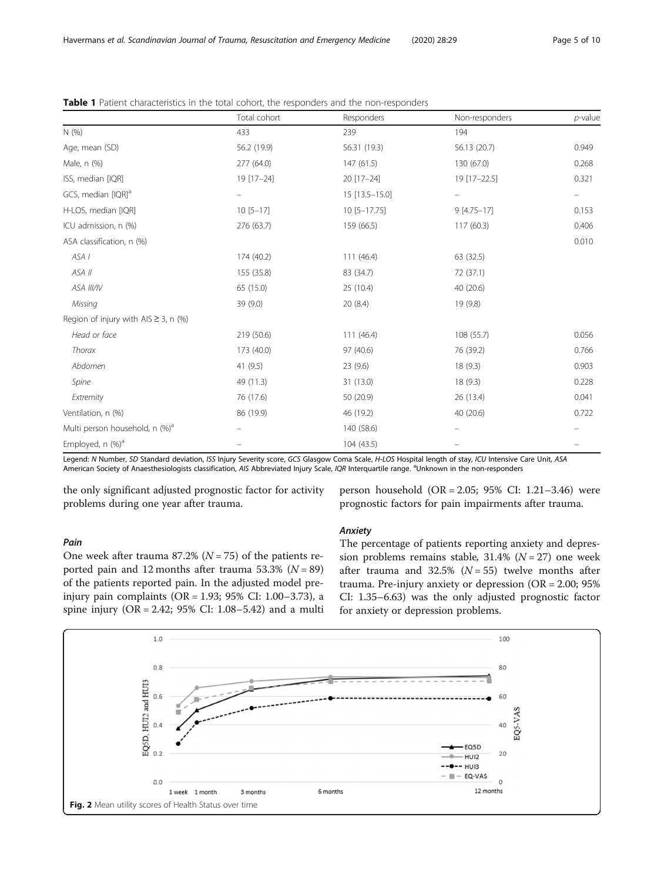|                                            | Total cohort  | Responders       | Non-responders  | $p$ -value |
|--------------------------------------------|---------------|------------------|-----------------|------------|
| N(%)                                       | 433           | 239              | 194             |            |
| Age, mean (SD)                             | 56.2 (19.9)   | 56.31 (19.3)     | 56.13 (20.7)    | 0.949      |
| Male, n (%)                                | 277 (64.0)    | 147 (61.5)       | 130 (67.0)      | 0.268      |
| ISS, median [IQR]                          | 19 [17-24]    | 20 [17-24]       | 19 [17-22.5]    | 0.321      |
| GCS, median [IQR] <sup>a</sup>             |               | 15 [13.5-15.0]   |                 |            |
| H-LOS, median [IQR]                        | $10 [5 - 17]$ | $10 [5 - 17.75]$ | $9 [4.75 - 17]$ | 0.153      |
| ICU admission, n (%)                       | 276 (63.7)    | 159 (66.5)       | 117(60.3)       | 0.406      |
| ASA classification, n (%)                  |               |                  |                 | 0.010      |
| ASA I                                      | 174 (40.2)    | 111(46.4)        | 63 (32.5)       |            |
| ASA II                                     | 155 (35.8)    | 83 (34.7)        | 72 (37.1)       |            |
| ASA III/IV                                 | 65 (15.0)     | 25 (10.4)        | 40 (20.6)       |            |
| Missing                                    | 39 (9.0)      | 20 (8.4)         | 19 (9.8)        |            |
| Region of injury with $AIS \geq 3$ , n (%) |               |                  |                 |            |
| Head or face                               | 219 (50.6)    | 111 (46.4)       | 108 (55.7)      | 0.056      |
| Thorax                                     | 173 (40.0)    | 97 (40.6)        | 76 (39.2)       | 0.766      |
| Abdomen                                    | 41 (9.5)      | 23 (9.6)         | 18(9.3)         | 0.903      |
| Spine                                      | 49 (11.3)     | 31 (13.0)        | 18 (9.3)        | 0.228      |
| Extremity                                  | 76 (17.6)     | 50 (20.9)        | 26 (13.4)       | 0.041      |
| Ventilation, n (%)                         | 86 (19.9)     | 46 (19.2)        | 40 (20.6)       | 0.722      |
| Multi person household, n (%) <sup>a</sup> |               | 140 (58.6)       |                 |            |
| Employed, n (%) <sup>a</sup>               |               | 104 (43.5)       |                 |            |

<span id="page-4-0"></span>Table 1 Patient characteristics in the total cohort, the responders and the non-responders

Legend: N Number, SD Standard deviation, ISS Injury Severity score, GCS Glasgow Coma Scale, H-LOS Hospital length of stay, ICU Intensive Care Unit, ASA American Society of Anaesthesiologists classification, AIS Abbreviated Injury Scale, IQR Interquartile range. <sup>a</sup>Unknown in the non-responders

the only significant adjusted prognostic factor for activity problems during one year after trauma.

person household (OR = 2.05; 95% CI: 1.21–3.46) were prognostic factors for pain impairments after trauma.

#### Pain

One week after trauma 87.2% ( $N$  = 75) of the patients reported pain and 12 months after trauma 53.3% ( $N = 89$ ) of the patients reported pain. In the adjusted model preinjury pain complaints (OR = 1.93; 95% CI: 1.00–3.73), a spine injury (OR = 2.42;  $95\%$  CI: 1.08–5.42) and a multi

The percentage of patients reporting anxiety and depression problems remains stable,  $31.4\%$  ( $N = 27$ ) one week after trauma and 32.5% ( $N = 55$ ) twelve months after trauma. Pre-injury anxiety or depression (OR = 2.00; 95% CI: 1.35–6.63) was the only adjusted prognostic factor for anxiety or depression problems.

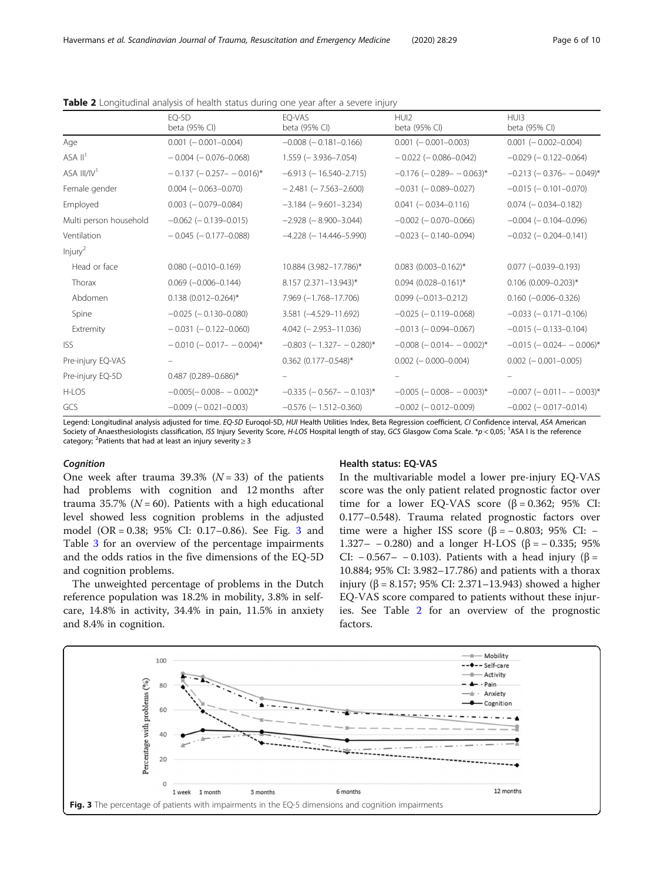|                        | $EO-5D$<br>beta (95% CI)        | EO-VAS<br>beta (95% CI)        | HUI2<br>beta (95% CI)          | HUI3<br>beta (95% CI)                    |
|------------------------|---------------------------------|--------------------------------|--------------------------------|------------------------------------------|
| Age                    | $0.001 (-0.001 - 0.004)$        | $-0.008$ ( $-0.181 - 0.166$ )  | $0.001$ (- 0.001-0.003)        | $0.001 (-0.002 - 0.004)$                 |
| ASA II <sup>1</sup>    | $-0.004$ ( $-0.076 - 0.068$ )   | $1.559$ ( $-3.936 - 7.054$ )   | $-0.022$ ( $-0.086 - 0.042$ )  | $-0.029$ ( $-0.122 - 0.064$ )            |
| ASA $III/IV1$          | $-0.137$ ( $-0.257 - -0.016$ )* | $-6.913$ ( $-16.540 - 2.715$ ) | $-0.176$ ( $-0.289 - 0.063$ )* | $-0.213$ ( $-0.376 - 0.049$ <sup>*</sup> |
| Female gender          | $0.004 (-0.063 - 0.070)$        | $-2.481 (-7.563 - 2.600)$      | $-0.031$ $(-0.089 - 0.027)$    | $-0.015$ ( $-0.101 - 0.070$ )            |
| Employed               | $0.003 (-0.079 - 0.084)$        | $-3.184$ ( $-9.601 - 3.234$ )  | $0.041 (-0.034 - 0.116)$       | $0.074$ ( $-0.034 - 0.182$ )             |
| Multi person household | $-0.062$ ( $-0.139-0.015$ )     | $-2.928$ ( $-8.900 - 3.044$ )  | $-0.002$ ( $-0.070-0.066$ )    | $-0.004$ ( $-0.104 - 0.096$ )            |
| Ventilation            | $-0.045$ ( $-0.177 - 0.088$ )   | $-4.228$ ( $-14.446 - 5.990$ ) | $-0.023$ ( $-0.140-0.094$ )    | $-0.032$ ( $-0.204 - 0.141$ )            |
| $ln_j$                 |                                 |                                |                                |                                          |
| Head or face           | $0.080 (-0.010 - 0.169)$        | 10.884 (3.982-17.786)*         | $0.083$ (0.003-0.162)*         | $0.077 (-0.039 - 0.193)$                 |
| Thorax                 | $0.069 (-0.006 - 0.144)$        | 8.157 (2.371-13.943)*          | $0.094$ (0.028-0.161)*         | $0.106$ (0.009-0.203)*                   |
| Abdomen                | $0.138(0.012 - 0.264)^*$        | 7.969 (-1.768-17.706)          | $0.099 (-0.013 - 0.212)$       | $0.160 (-0.006 - 0.326)$                 |
| Spine                  | $-0.025$ ( $-0.130 - 0.080$ )   | 3.581 (-4.529-11.692)          | $-0.025$ ( $-0.119 - 0.068$ )  | $-0.033$ ( $-0.171 - 0.106$ )            |
| Extremity              | $-0.031$ ( $-0.122 - 0.060$ )   | $4.042$ (-2.953-11.036)        | $-0.013$ ( $-0.094 - 0.067$ )  | $-0.015$ ( $-0.133 - 0.104$ )            |
| <b>ISS</b>             | $-0.010$ ( $-0.017 - -0.004$ )* | $-0.803$ (-1.327- -0.280)*     | $-0.008$ ( $-0.014 - 0.002$ )* | $-0.015$ ( $-0.024 -0.006$ )*            |
| Pre-injury EQ-VAS      |                                 | $0.362$ (0.177-0.548)*         | $0.002$ (- 0.000-0.004)        | $0.002$ (- 0.001-0.005)                  |
| Pre-injury EQ-5D       | $0.487$ (0.289-0.686)*          |                                |                                |                                          |
| H-LOS                  | $-0.005(-0.008-0.002)$ *        | $-0.335$ ( $-0.567 -0.103$ )*  | $-0.005$ ( $-0.008 - 0.003$ )* | $-0.007$ ( $-0.011 - -0.003$ )*          |
| GCS                    | $-0.009$ ( $-0.021 - 0.003$ )   | $-0.576$ ( $-1.512-0.360$ )    | $-0.002$ ( $-0.012-0.009$ )    | $-0.002$ ( $-0.017-0.014$ )              |

<span id="page-5-0"></span>**Table 2** Longitudinal analysis of health status during one year after a severe injury

Legend: Longitudinal analysis adjusted for time. EQ-5D Euroqol-5D, HUI Health Utilities Index, Beta Regression coefficient, CI Confidence interval, ASA American Society of Anaesthesiologists classification, ISS Injury Severity Score, H-LOS Hospital length of stay, GCS Glasgow Coma Scale. \*p < 0,05; <sup>1</sup>ASA I is the reference category; <sup>2</sup>Patients that had at least an injury severity  $\geq$  3

One week after trauma 39.3% ( $N = 33$ ) of the patients had problems with cognition and 12 months after trauma 35.7% ( $N = 60$ ). Patients with a high educational level showed less cognition problems in the adjusted model (OR = 0.38; 95% CI: 0.17–0.86). See Fig. 3 and Table [3](#page-6-0) for an overview of the percentage impairments and the odds ratios in the five dimensions of the EQ-5D and cognition problems.

The unweighted percentage of problems in the Dutch reference population was 18.2% in mobility, 3.8% in selfcare, 14.8% in activity, 34.4% in pain, 11.5% in anxiety and 8.4% in cognition.

#### Health status: EQ-VAS

In the multivariable model a lower pre-injury EQ-VAS score was the only patient related prognostic factor over time for a lower EQ-VAS score ( $β = 0.362$ ; 95% CI: 0.177–0.548). Trauma related prognostic factors over time were a higher ISS score (β =  $-0.803$ ; 95% CI:  $-$ 1.327– – 0.280) and a longer H-LOS (β = – 0.335; 95% CI:  $-0.567-$  -0.103). Patients with a head injury ( $\beta$  = 10.884; 95% CI: 3.982–17.786) and patients with a thorax injury (β = 8.157; 95% CI: 2.371–13.943) showed a higher EQ-VAS score compared to patients without these injuries. See Table 2 for an overview of the prognostic factors.

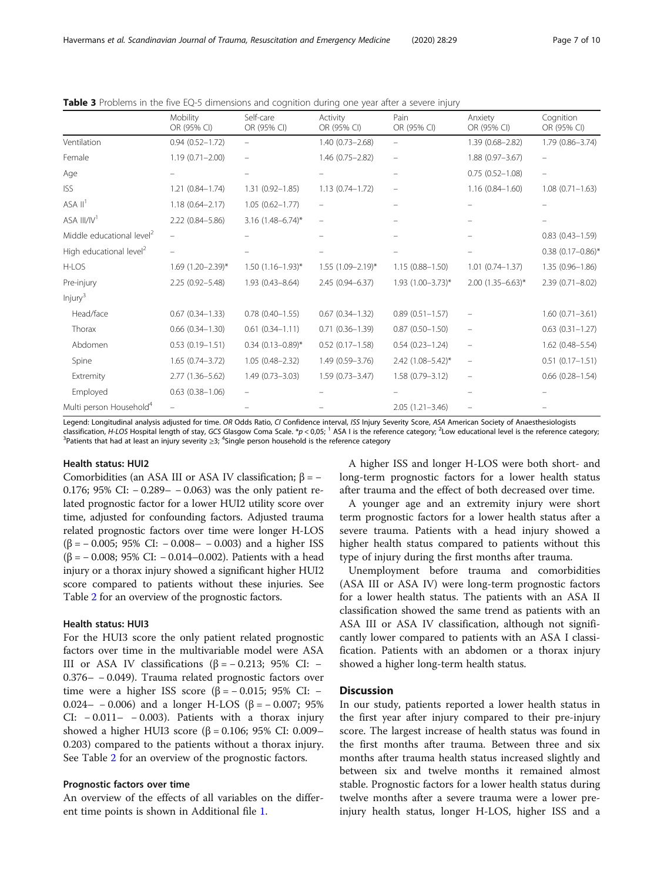| Page / of |  |
|-----------|--|
|           |  |

|                                       | <b>Mobility</b><br>OR (95% CI) | Self-care<br>OR (95% CI) | Activity<br>OR (95% CI)  | Pain<br>OR (95% CI)            | Anxiety<br>OR (95% CI)   | Cognition<br>OR (95% CI) |
|---------------------------------------|--------------------------------|--------------------------|--------------------------|--------------------------------|--------------------------|--------------------------|
| Ventilation                           | $0.94(0.52 - 1.72)$            |                          | $1.40(0.73 - 2.68)$      | $\qquad \qquad -$              | $1.39(0.68 - 2.82)$      | 1.79 (0.86-3.74)         |
| Female                                | $1.19(0.71 - 2.00)$            |                          | 1.46 (0.75-2.82)         | $\equiv$                       | $1.88(0.97 - 3.67)$      |                          |
| Age                                   |                                |                          |                          | $\qquad \qquad \longleftarrow$ | $0.75(0.52 - 1.08)$      | $\overline{\phantom{0}}$ |
| <b>ISS</b>                            | $1.21(0.84 - 1.74)$            | $1.31(0.92 - 1.85)$      | $1.13(0.74 - 1.72)$      | $\overline{\phantom{m}}$       | $1.16(0.84 - 1.60)$      | $1.08(0.71 - 1.63)$      |
| ASA II <sup>1</sup>                   | $1.18(0.64 - 2.17)$            | $1.05(0.62 - 1.77)$      |                          |                                |                          |                          |
| ASA III/IV <sup>1</sup>               | 2.22 (0.84-5.86)               | $3.16$ (1.48-6.74)*      | $\overline{\phantom{0}}$ |                                |                          |                          |
| Middle educational level <sup>2</sup> | $\qquad \qquad -$              |                          |                          |                                |                          | $0.83(0.43 - 1.59)$      |
| High educational level <sup>2</sup>   | $\overline{\phantom{0}}$       |                          |                          |                                |                          | $0.38$ (0.17-0.86)*      |
| H-LOS                                 | $1.69$ (1.20-2.39)*            | $1.50(1.16 - 1.93)^{*}$  | $1.55$ $(1.09 - 2.19)^*$ | $1.15(0.88 - 1.50)$            | $1.01(0.74 - 1.37)$      | $1.35(0.96 - 1.86)$      |
| Pre-injury                            | $2.25(0.92 - 5.48)$            | $1.93(0.43 - 8.64)$      | 2.45 (0.94-6.37)         | $1.93$ $(1.00 - 3.73)^*$       | $2.00$ (1.35-6.63)*      | $2.39(0.71 - 8.02)$      |
| Injury <sup>3</sup>                   |                                |                          |                          |                                |                          |                          |
| Head/face                             | $0.67(0.34 - 1.33)$            | $0.78$ $(0.40 - 1.55)$   | $0.67(0.34 - 1.32)$      | $0.89(0.51 - 1.57)$            |                          | $1.60(0.71 - 3.61)$      |
| Thorax                                | $0.66$ $(0.34 - 1.30)$         | $0.61(0.34 - 1.11)$      | $0.71(0.36 - 1.39)$      | $0.87(0.50 - 1.50)$            | $\qquad \qquad -$        | $0.63(0.31 - 1.27)$      |
| Abdomen                               | $0.53(0.19 - 1.51)$            | $0.34$ (0.13-0.89)*      | $0.52(0.17 - 1.58)$      | $0.54(0.23 - 1.24)$            | $\overline{\phantom{m}}$ | $1.62$ (0.48-5.54)       |
| Spine                                 | $1.65(0.74 - 3.72)$            | $1.05(0.48 - 2.32)$      | $1.49(0.59 - 3.76)$      | $2.42$ (1.08-5.42)*            |                          | $0.51(0.17 - 1.51)$      |
| Extremity                             | $2.77(1.36 - 5.62)$            | $1.49(0.73 - 3.03)$      | $1.59(0.73 - 3.47)$      | $1.58(0.79 - 3.12)$            | $\qquad \qquad -$        | $0.66$ $(0.28 - 1.54)$   |
| Employed                              | $0.63(0.38 - 1.06)$            |                          |                          |                                |                          |                          |
| Multi person Household <sup>4</sup>   |                                |                          |                          | $2.05(1.21 - 3.46)$            |                          |                          |

<span id="page-6-0"></span>Table 3 Problems in the five EQ-5 dimensions and cognition during one year after a severe injury

Legend: Longitudinal analysis adjusted for time. OR Odds Ratio, CI Confidence interval, ISS Injury Severity Score, ASA American Society of Anaesthesiologists classification, H-LOS Hospital length of stay, GCS Glasgow Coma Scale. \*p < 0,05; <sup>1</sup> ASA I is the reference category; <sup>2</sup>Low educational level is the reference category;<br><sup>3</sup>Dationts that had at least an injury severity >2 Patients that had at least an injury severity ≥3; <sup>4</sup>Single person household is the reference category

#### Health status: HUI2

Comorbidities (an ASA III or ASA IV classification;  $β = -$ 0.176; 95% CI: − 0.289– − 0.063) was the only patient related prognostic factor for a lower HUI2 utility score over time, adjusted for confounding factors. Adjusted trauma related prognostic factors over time were longer H-LOS (β = − 0.005; 95% CI: − 0.008– − 0.003) and a higher ISS ( $\beta$  = – 0.008; 95% CI: – 0.014–0.002). Patients with a head injury or a thorax injury showed a significant higher HUI2 score compared to patients without these injuries. See Table [2](#page-5-0) for an overview of the prognostic factors.

#### Health status: HUI3

For the HUI3 score the only patient related prognostic factors over time in the multivariable model were ASA III or ASA IV classifications ( $β = -0.213$ ; 95% CI: – 0.376– − 0.049). Trauma related prognostic factors over time were a higher ISS score (β =  $-$  0.015; 95% CI:  $-$ 0.024– – 0.006) and a longer H-LOS (β = – 0.007; 95% CI:  $-0.011- -0.003$ ). Patients with a thorax injury showed a higher HUI3 score (β = 0.106; 95% CI: 0.009– 0.203) compared to the patients without a thorax injury. See Table [2](#page-5-0) for an overview of the prognostic factors.

#### Prognostic factors over time

An overview of the effects of all variables on the different time points is shown in Additional file [1.](#page-8-0)

A higher ISS and longer H-LOS were both short- and long-term prognostic factors for a lower health status after trauma and the effect of both decreased over time.

A younger age and an extremity injury were short term prognostic factors for a lower health status after a severe trauma. Patients with a head injury showed a higher health status compared to patients without this type of injury during the first months after trauma.

Unemployment before trauma and comorbidities (ASA III or ASA IV) were long-term prognostic factors for a lower health status. The patients with an ASA II classification showed the same trend as patients with an ASA III or ASA IV classification, although not significantly lower compared to patients with an ASA I classification. Patients with an abdomen or a thorax injury showed a higher long-term health status.

#### **Discussion**

In our study, patients reported a lower health status in the first year after injury compared to their pre-injury score. The largest increase of health status was found in the first months after trauma. Between three and six months after trauma health status increased slightly and between six and twelve months it remained almost stable. Prognostic factors for a lower health status during twelve months after a severe trauma were a lower preinjury health status, longer H-LOS, higher ISS and a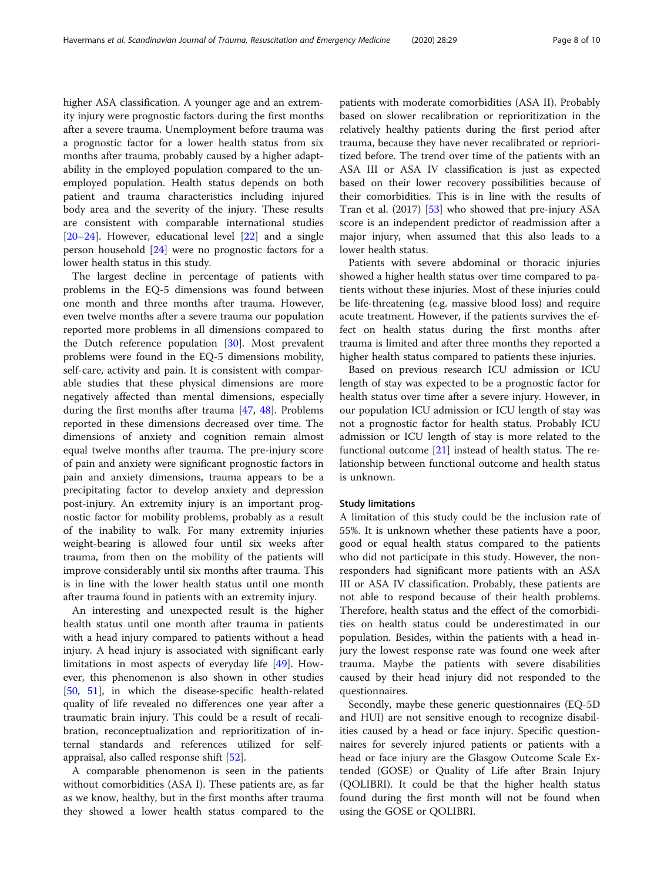higher ASA classification. A younger age and an extremity injury were prognostic factors during the first months after a severe trauma. Unemployment before trauma was a prognostic factor for a lower health status from six months after trauma, probably caused by a higher adaptability in the employed population compared to the unemployed population. Health status depends on both patient and trauma characteristics including injured body area and the severity of the injury. These results are consistent with comparable international studies [[20](#page-9-0)–[24](#page-9-0)]. However, educational level [[22\]](#page-9-0) and a single person household [\[24](#page-9-0)] were no prognostic factors for a lower health status in this study.

The largest decline in percentage of patients with problems in the EQ-5 dimensions was found between one month and three months after trauma. However, even twelve months after a severe trauma our population reported more problems in all dimensions compared to the Dutch reference population [\[30](#page-9-0)]. Most prevalent problems were found in the EQ-5 dimensions mobility, self-care, activity and pain. It is consistent with comparable studies that these physical dimensions are more negatively affected than mental dimensions, especially during the first months after trauma [\[47](#page-9-0), [48](#page-9-0)]. Problems reported in these dimensions decreased over time. The dimensions of anxiety and cognition remain almost equal twelve months after trauma. The pre-injury score of pain and anxiety were significant prognostic factors in pain and anxiety dimensions, trauma appears to be a precipitating factor to develop anxiety and depression post-injury. An extremity injury is an important prognostic factor for mobility problems, probably as a result of the inability to walk. For many extremity injuries weight-bearing is allowed four until six weeks after trauma, from then on the mobility of the patients will improve considerably until six months after trauma. This is in line with the lower health status until one month after trauma found in patients with an extremity injury.

An interesting and unexpected result is the higher health status until one month after trauma in patients with a head injury compared to patients without a head injury. A head injury is associated with significant early limitations in most aspects of everyday life [[49\]](#page-9-0). However, this phenomenon is also shown in other studies [[50,](#page-9-0) [51](#page-9-0)], in which the disease-specific health-related quality of life revealed no differences one year after a traumatic brain injury. This could be a result of recalibration, reconceptualization and reprioritization of internal standards and references utilized for selfappraisal, also called response shift [[52\]](#page-9-0).

A comparable phenomenon is seen in the patients without comorbidities (ASA I). These patients are, as far as we know, healthy, but in the first months after trauma they showed a lower health status compared to the patients with moderate comorbidities (ASA II). Probably based on slower recalibration or reprioritization in the relatively healthy patients during the first period after trauma, because they have never recalibrated or reprioritized before. The trend over time of the patients with an ASA III or ASA IV classification is just as expected based on their lower recovery possibilities because of their comorbidities. This is in line with the results of Tran et al. (2017) [[53](#page-9-0)] who showed that pre-injury ASA score is an independent predictor of readmission after a major injury, when assumed that this also leads to a lower health status.

Patients with severe abdominal or thoracic injuries showed a higher health status over time compared to patients without these injuries. Most of these injuries could be life-threatening (e.g. massive blood loss) and require acute treatment. However, if the patients survives the effect on health status during the first months after trauma is limited and after three months they reported a higher health status compared to patients these injuries.

Based on previous research ICU admission or ICU length of stay was expected to be a prognostic factor for health status over time after a severe injury. However, in our population ICU admission or ICU length of stay was not a prognostic factor for health status. Probably ICU admission or ICU length of stay is more related to the functional outcome [\[21\]](#page-9-0) instead of health status. The relationship between functional outcome and health status is unknown.

#### Study limitations

A limitation of this study could be the inclusion rate of 55%. It is unknown whether these patients have a poor, good or equal health status compared to the patients who did not participate in this study. However, the nonresponders had significant more patients with an ASA III or ASA IV classification. Probably, these patients are not able to respond because of their health problems. Therefore, health status and the effect of the comorbidities on health status could be underestimated in our population. Besides, within the patients with a head injury the lowest response rate was found one week after trauma. Maybe the patients with severe disabilities caused by their head injury did not responded to the questionnaires.

Secondly, maybe these generic questionnaires (EQ-5D and HUI) are not sensitive enough to recognize disabilities caused by a head or face injury. Specific questionnaires for severely injured patients or patients with a head or face injury are the Glasgow Outcome Scale Extended (GOSE) or Quality of Life after Brain Injury (QOLIBRI). It could be that the higher health status found during the first month will not be found when using the GOSE or QOLIBRI.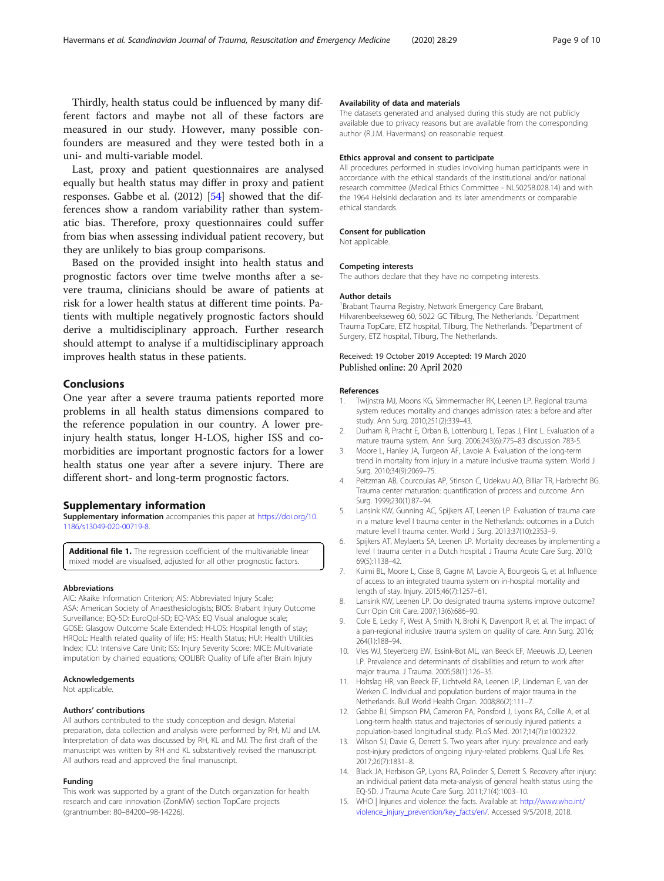<span id="page-8-0"></span>Thirdly, health status could be influenced by many different factors and maybe not all of these factors are measured in our study. However, many possible confounders are measured and they were tested both in a uni- and multi-variable model.

Last, proxy and patient questionnaires are analysed equally but health status may differ in proxy and patient responses. Gabbe et al. (2012) [[54\]](#page-9-0) showed that the differences show a random variability rather than systematic bias. Therefore, proxy questionnaires could suffer from bias when assessing individual patient recovery, but they are unlikely to bias group comparisons.

Based on the provided insight into health status and prognostic factors over time twelve months after a severe trauma, clinicians should be aware of patients at risk for a lower health status at different time points. Patients with multiple negatively prognostic factors should derive a multidisciplinary approach. Further research should attempt to analyse if a multidisciplinary approach improves health status in these patients.

### Conclusions

One year after a severe trauma patients reported more problems in all health status dimensions compared to the reference population in our country. A lower preinjury health status, longer H-LOS, higher ISS and comorbidities are important prognostic factors for a lower health status one year after a severe injury. There are different short- and long-term prognostic factors.

#### Supplementary information

Supplementary information accompanies this paper at [https://doi.org/10.](https://doi.org/10.1186/s13049-020-00719-8) [1186/s13049-020-00719-8](https://doi.org/10.1186/s13049-020-00719-8).

Additional file 1. The regression coefficient of the multivariable linear mixed model are visualised, adjusted for all other prognostic factors.

#### Abbreviations

AIC: Akaike Information Criterion; AIS: Abbreviated Injury Scale; ASA: American Society of Anaesthesiologists; BIOS: Brabant Injury Outcome Surveillance; EQ-5D: EuroQol-5D; EQ-VAS: EQ Visual analogue scale; GOSE: Glasgow Outcome Scale Extended; H-LOS: Hospital length of stay; HRQoL: Health related quality of life; HS: Health Status; HUI: Health Utilities Index; ICU: Intensive Care Unit; ISS: Injury Severity Score; MICE: Multivariate imputation by chained equations; QOLIBR: Quality of Life after Brain Injury

#### Acknowledgements

Not applicable.

#### Authors' contributions

All authors contributed to the study conception and design. Material preparation, data collection and analysis were performed by RH, MJ and LM. Interpretation of data was discussed by RH, KL and MJ. The first draft of the manuscript was written by RH and KL substantively revised the manuscript. All authors read and approved the final manuscript.

#### Funding

This work was supported by a grant of the Dutch organization for health research and care innovation (ZonMW) section TopCare projects (grantnumber: 80–84200–98-14226).

#### Availability of data and materials

The datasets generated and analysed during this study are not publicly available due to privacy reasons but are available from the corresponding author (R.J.M. Havermans) on reasonable request.

#### Ethics approval and consent to participate

All procedures performed in studies involving human participants were in accordance with the ethical standards of the institutional and/or national research committee (Medical Ethics Committee - NL50258.028.14) and with the 1964 Helsinki declaration and its later amendments or comparable ethical standards.

#### Consent for publication

Not applicable.

#### Competing interests

The authors declare that they have no competing interests.

#### Author details

<sup>1</sup> Brabant Trauma Registry, Network Emergency Care Brabant, Hilvarenbeekseweg 60, 5022 GC Tilburg, The Netherlands. <sup>2</sup>Department Trauma TopCare, ETZ hospital, Tilburg, The Netherlands. <sup>3</sup>Department of Surgery, ETZ hospital, Tilburg, The Netherlands.

#### Received: 19 October 2019 Accepted: 19 March 2020 Published online: 20 April 2020

#### References

- 1. Twijnstra MJ, Moons KG, Simmermacher RK, Leenen LP. Regional trauma system reduces mortality and changes admission rates: a before and after study. Ann Surg. 2010;251(2):339–43.
- 2. Durham R, Pracht E, Orban B, Lottenburg L, Tepas J, Flint L. Evaluation of a mature trauma system. Ann Surg. 2006;243(6):775–83 discussion 783-5.
- 3. Moore L, Hanley JA, Turgeon AF, Lavoie A. Evaluation of the long-term trend in mortality from injury in a mature inclusive trauma system. World J Surg. 2010;34(9):2069–75.
- 4. Peitzman AB, Courcoulas AP, Stinson C, Udekwu AO, Billiar TR, Harbrecht BG. Trauma center maturation: quantification of process and outcome. Ann Surg. 1999;230(1):87–94.
- 5. Lansink KW, Gunning AC, Spijkers AT, Leenen LP. Evaluation of trauma care in a mature level I trauma center in the Netherlands: outcomes in a Dutch mature level I trauma center. World J Surg. 2013;37(10):2353–9.
- 6. Spijkers AT, Meylaerts SA, Leenen LP. Mortality decreases by implementing a level I trauma center in a Dutch hospital. J Trauma Acute Care Surg. 2010; 69(5):1138–42.
- 7. Kuimi BL, Moore L, Cisse B, Gagne M, Lavoie A, Bourgeois G, et al. Influence of access to an integrated trauma system on in-hospital mortality and length of stay. Injury. 2015;46(7):1257–61.
- 8. Lansink KW, Leenen LP. Do designated trauma systems improve outcome? Curr Opin Crit Care. 2007;13(6):686–90.
- 9. Cole E, Lecky F, West A, Smith N, Brohi K, Davenport R, et al. The impact of a pan-regional inclusive trauma system on quality of care. Ann Surg. 2016; 264(1):188–94.
- 10. Vles WJ, Steyerberg EW, Essink-Bot ML, van Beeck EF, Meeuwis JD, Leenen LP. Prevalence and determinants of disabilities and return to work after major trauma. J Trauma. 2005;58(1):126–35.
- 11. Holtslag HR, van Beeck EF, Lichtveld RA, Leenen LP, Lindeman E, van der Werken C. Individual and population burdens of major trauma in the Netherlands. Bull World Health Organ. 2008;86(2):111–7.
- 12. Gabbe BJ, Simpson PM, Cameron PA, Ponsford J, Lyons RA, Collie A, et al. Long-term health status and trajectories of seriously injured patients: a population-based longitudinal study. PLoS Med. 2017;14(7):e1002322.
- 13. Wilson SJ, Davie G, Derrett S. Two years after injury: prevalence and early post-injury predictors of ongoing injury-related problems. Qual Life Res. 2017;26(7):1831–8.
- 14. Black JA, Herbison GP, Lyons RA, Polinder S, Derrett S. Recovery after injury: an individual patient data meta-analysis of general health status using the EQ-5D. J Trauma Acute Care Surg. 2011;71(4):1003–10.
- 15. WHO | Injuries and violence: the facts. Available at: [http://www.who.int/](http://www.who.int/violence_injury_prevention/key_facts/en/) [violence\\_injury\\_prevention/key\\_facts/en/.](http://www.who.int/violence_injury_prevention/key_facts/en/) Accessed 9/5/2018, 2018.